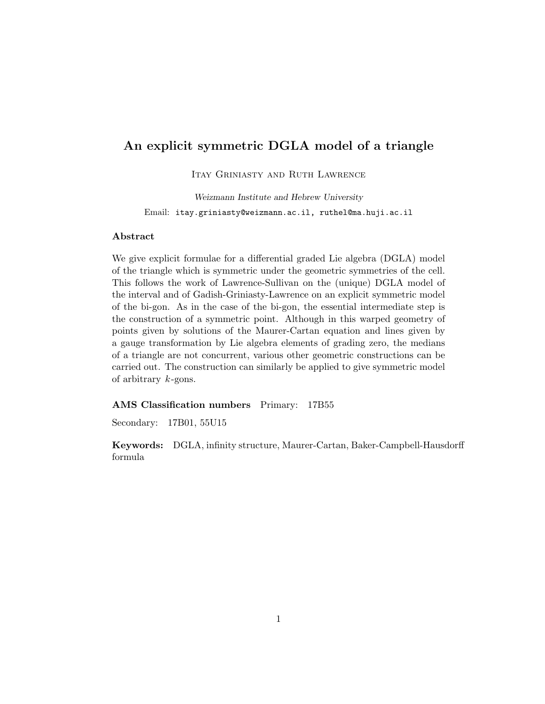# An explicit symmetric DGLA model of a triangle

ITAY GRINIASTY AND RUTH LAWRENCE

Weizmann Institute and Hebrew University Email: itay.griniasty@weizmann.ac.il, ruthel@ma.huji.ac.il

#### Abstract

We give explicit formulae for a differential graded Lie algebra (DGLA) model of the triangle which is symmetric under the geometric symmetries of the cell. This follows the work of Lawrence-Sullivan on the (unique) DGLA model of the interval and of Gadish-Griniasty-Lawrence on an explicit symmetric model of the bi-gon. As in the case of the bi-gon, the essential intermediate step is the construction of a symmetric point. Although in this warped geometry of points given by solutions of the Maurer-Cartan equation and lines given by a gauge transformation by Lie algebra elements of grading zero, the medians of a triangle are not concurrent, various other geometric constructions can be carried out. The construction can similarly be applied to give symmetric model of arbitrary  $k$ -gons.

#### AMS Classification numbers Primary: 17B55

Secondary: 17B01, 55U15

Keywords: DGLA, infinity structure, Maurer-Cartan, Baker-Campbell-Hausdorff formula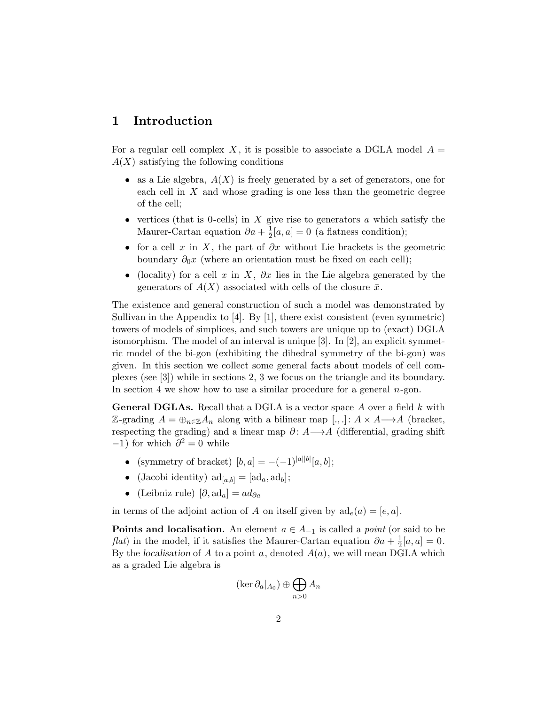# 1 Introduction

For a regular cell complex X, it is possible to associate a DGLA model  $A =$  $A(X)$  satisfying the following conditions

- as a Lie algebra,  $A(X)$  is freely generated by a set of generators, one for each cell in X and whose grading is one less than the geometric degree of the cell;
- vertices (that is 0-cells) in  $X$  give rise to generators  $a$  which satisfy the Maurer-Cartan equation  $\partial a + \frac{1}{2}$  $\frac{1}{2}[a, a] = 0$  (a flatness condition);
- for a cell x in X, the part of  $\partial x$  without Lie brackets is the geometric boundary  $\partial_0 x$  (where an orientation must be fixed on each cell);
- (locality) for a cell x in X,  $\partial x$  lies in the Lie algebra generated by the generators of  $A(X)$  associated with cells of the closure  $\bar{x}$ .

The existence and general construction of such a model was demonstrated by Sullivan in the Appendix to [4]. By [1], there exist consistent (even symmetric) towers of models of simplices, and such towers are unique up to (exact) DGLA isomorphism. The model of an interval is unique [3]. In [2], an explicit symmetric model of the bi-gon (exhibiting the dihedral symmetry of the bi-gon) was given. In this section we collect some general facts about models of cell complexes (see [3]) while in sections 2, 3 we focus on the triangle and its boundary. In section 4 we show how to use a similar procedure for a general  $n$ -gon.

**General DGLAs.** Recall that a DGLA is a vector space A over a field  $k$  with Z-grading  $A = \bigoplus_{n \in \mathbb{Z}} A_n$  along with a bilinear map  $[.,.]: A \times A \longrightarrow A$  (bracket, respecting the grading) and a linear map  $\partial: A \rightarrow A$  (differential, grading shift  $-1$ ) for which  $\partial^2 = 0$  while

- (symmetry of bracket)  $[b, a] = -(-1)^{|a||b|}[a, b];$
- (Jacobi identity)  $\mathrm{ad}_{[a,b]} = [\mathrm{ad}_a, \mathrm{ad}_b];$
- (Leibniz rule)  $[\partial, \mathrm{ad}_a] = ad_{\partial a}$

in terms of the adjoint action of A on itself given by  $ad_e(a) = [e, a]$ .

**Points and localisation.** An element  $a \in A_{-1}$  is called a *point* (or said to be *flat*) in the model, if it satisfies the Maurer-Cartan equation  $\partial a + \frac{1}{2}$  $\frac{1}{2}[a, a] = 0.$ By the localisation of  $A$  to a point  $a$ , denoted  $A(a)$ , we will mean DGLA which as a graded Lie algebra is

$$
(\ker \partial_a|_{A_0}) \oplus \bigoplus_{n>0} A_n
$$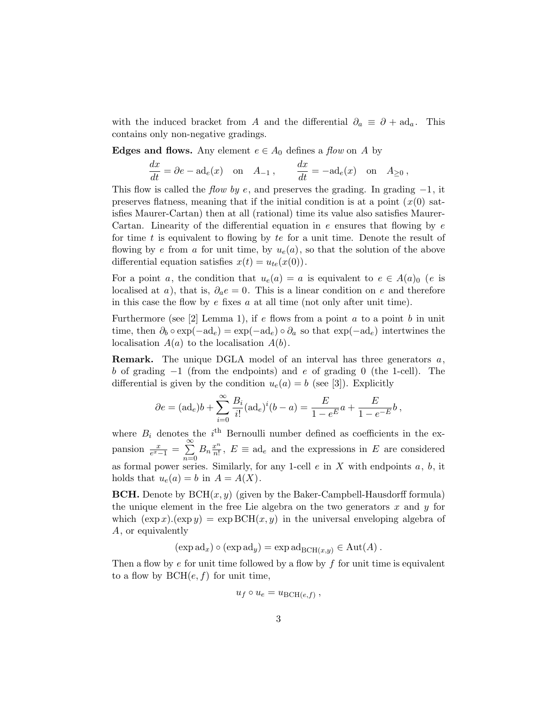with the induced bracket from A and the differential  $\partial_a \equiv \partial + \mathrm{ad}_a$ . This contains only non-negative gradings.

**Edges and flows.** Any element  $e \in A_0$  defines a *flow* on A by

$$
\frac{dx}{dt} = \partial e - \mathrm{ad}_e(x) \quad \text{on} \quad A_{-1} , \qquad \frac{dx}{dt} = -\mathrm{ad}_e(x) \quad \text{on} \quad A_{\geq 0} ,
$$

This flow is called the flow by e, and preserves the grading. In grading  $-1$ , it preserves flatness, meaning that if the initial condition is at a point  $(x(0))$  satisfies Maurer-Cartan) then at all (rational) time its value also satisfies Maurer-Cartan. Linearity of the differential equation in  $e$  ensures that flowing by  $e$ for time t is equivalent to flowing by te for a unit time. Denote the result of flowing by e from a for unit time, by  $u_e(a)$ , so that the solution of the above differential equation satisfies  $x(t) = u_{te}(x(0))$ .

For a point a, the condition that  $u_e(a) = a$  is equivalent to  $e \in A(a)_0$  (e is localised at a), that is,  $\partial_a e = 0$ . This is a linear condition on e and therefore in this case the flow by  $e$  fixes  $a$  at all time (not only after unit time).

Furthermore (see [2] Lemma 1), if  $e$  flows from a point  $a$  to a point  $b$  in unit time, then  $\partial_b \circ \exp(-ad_e) = \exp(-ad_e) \circ \partial_a$  so that  $\exp(-ad_e)$  intertwines the localisation  $A(a)$  to the localisation  $A(b)$ .

Remark. The unique DGLA model of an interval has three generators a, b of grading −1 (from the endpoints) and e of grading 0 (the 1-cell). The differential is given by the condition  $u_e(a) = b$  (see [3]). Explicitly

$$
\partial e = (ad_e)b + \sum_{i=0}^{\infty} \frac{B_i}{i!} (ad_e)^i (b - a) = \frac{E}{1 - e^E} a + \frac{E}{1 - e^{-E}} b,
$$

where  $B_i$  denotes the i<sup>th</sup> Bernoulli number defined as coefficients in the expansion  $\frac{x}{e^x-1} = \sum_{n=1}^{\infty}$  $n=0$  $B_n \frac{x^n}{n!}$  $\frac{x^n}{n!}$ ,  $E \equiv \text{ad}_e$  and the expressions in E are considered as formal power series. Similarly, for any 1-cell  $e$  in X with endpoints  $a, b$ , it holds that  $u_e(a) = b$  in  $A = A(X)$ .

**BCH.** Denote by  $BCH(x, y)$  (given by the Baker-Campbell-Hausdorff formula) the unique element in the free Lie algebra on the two generators  $x$  and  $y$  for which  $(\exp x)(\exp y) = \exp BCH(x, y)$  in the universal enveloping algebra of A, or equivalently

 $(\exp ad_x) \circ (\exp ad_y) = \exp ad_{\text{BCH}(x,y)} \in \text{Aut}(A)$ .

Then a flow by  $e$  for unit time followed by a flow by  $f$  for unit time is equivalent to a flow by  $BCH(e, f)$  for unit time,

$$
u_f \circ u_e = u_{\text{BCH}(e,f)} ,
$$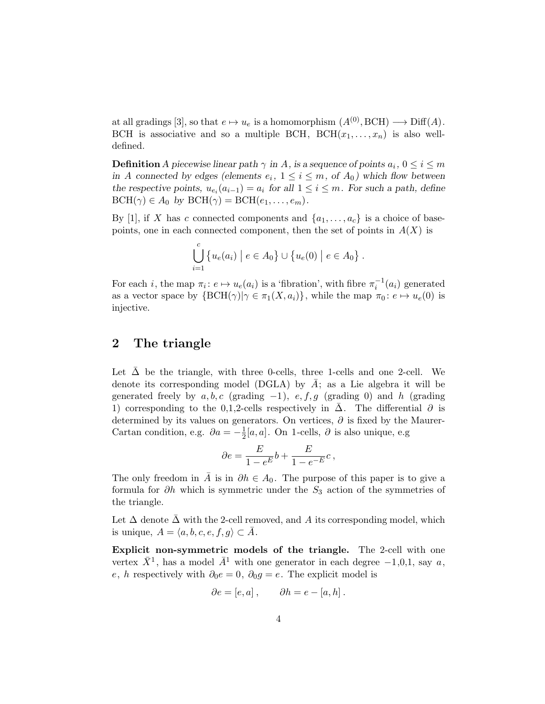at all gradings [3], so that  $e \mapsto u_e$  is a homomorphism  $(A^{(0)}, \text{BCH}) \longrightarrow \text{Diff}(A)$ . BCH is associative and so a multiple BCH, BCH $(x_1, \ldots, x_n)$  is also welldefined.

**Definition** A piecewise linear path  $\gamma$  in A, is a sequence of points  $a_i$ ,  $0 \le i \le m$ in A connected by edges (elements  $e_i$ ,  $1 \leq i \leq m$ , of  $A_0$ ) which flow between the respective points,  $u_{e_i}(a_{i-1}) = a_i$  for all  $1 \leq i \leq m$ . For such a path, define  $BCH(\gamma) \in A_0$  by  $BCH(\gamma) = BCH(e_1, \ldots, e_m)$ .

By [1], if X has c connected components and  $\{a_1, \ldots, a_c\}$  is a choice of basepoints, one in each connected component, then the set of points in  $A(X)$  is

$$
\bigcup_{i=1}^{c} \{ u_e(a_i) \mid e \in A_0 \} \cup \{ u_e(0) \mid e \in A_0 \}.
$$

For each *i*, the map  $\pi_i$ :  $e \mapsto u_e(a_i)$  is a 'fibration', with fibre  $\pi_i^{-1}(a_i)$  generated as a vector space by  $\{BCH(\gamma)|\gamma \in \pi_1(X, a_i)\}\$ , while the map  $\pi_0: e \mapsto u_e(0)$  is injective.

## 2 The triangle

Let  $\Delta$  be the triangle, with three 0-cells, three 1-cells and one 2-cell. We denote its corresponding model (DGLA) by  $A$ ; as a Lie algebra it will be generated freely by  $a, b, c$  (grading -1),  $e, f, g$  (grading 0) and h (grading 1) corresponding to the 0,1,2-cells respectively in  $\Delta$ . The differential  $\partial$  is determined by its values on generators. On vertices,  $\partial$  is fixed by the Maurer-Cartan condition, e.g.  $\partial a = -\frac{1}{2}$  $\frac{1}{2}[a, a]$ . On 1-cells,  $\partial$  is also unique, e.g

$$
\partial e = \frac{E}{1 - e^E} b + \frac{E}{1 - e^{-E}} c \,,
$$

The only freedom in A is in  $\partial h \in A_0$ . The purpose of this paper is to give a formula for ∂h which is symmetric under the  $S_3$  action of the symmetries of the triangle.

Let  $\Delta$  denote  $\Delta$  with the 2-cell removed, and A its corresponding model, which is unique,  $A = \langle a, b, c, e, f, g \rangle \subset A$ .

Explicit non-symmetric models of the triangle. The 2-cell with one vertex  $\bar{X}^1$ , has a model  $\bar{A}^1$  with one generator in each degree  $-1,0,1$ , say a, e, h respectively with  $\partial_0 e = 0$ ,  $\partial_0 g = e$ . The explicit model is

$$
\partial e = [e, a] , \qquad \partial h = e - [a, h] .
$$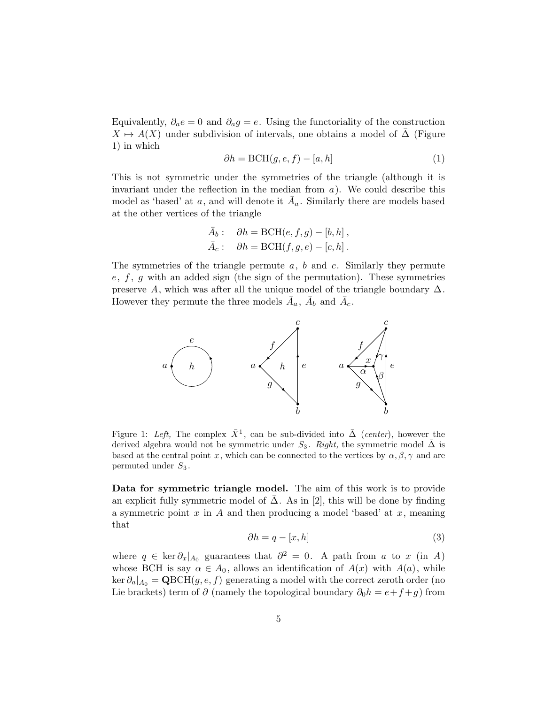Equivalently,  $\partial_a e = 0$  and  $\partial_a g = e$ . Using the functoriality of the construction  $X \mapsto A(X)$  under subdivision of intervals, one obtains a model of  $\Delta$  (Figure 1) in which

$$
\partial h = \text{BCH}(g, e, f) - [a, h] \tag{1}
$$

This is not symmetric under the symmetries of the triangle (although it is invariant under the reflection in the median from  $a$ ). We could describe this model as 'based' at a, and will denote it  $\bar{A}_a$ . Similarly there are models based at the other vertices of the triangle

$$
\bar{A}_b: \quad \partial h = \text{BCH}(e, f, g) - [b, h],
$$
  

$$
\bar{A}_c: \quad \partial h = \text{BCH}(f, g, e) - [c, h].
$$

The symmetries of the triangle permute  $a, b$  and c. Similarly they permute  $e, f, g$  with an added sign (the sign of the permutation). These symmetries preserve A, which was after all the unique model of the triangle boundary  $\Delta$ . However they permute the three models  $\bar{A}_a$ ,  $\bar{A}_b$  and  $\bar{A}_c$ .



Figure 1: Left, The complex  $\bar{X}^1$ , can be sub-divided into  $\bar{\Delta}$  (center), however the derived algebra would not be symmetric under  $S_3$ . Right, the symmetric model  $\bar{\Delta}$  is based at the central point x, which can be connected to the vertices by  $\alpha, \beta, \gamma$  and are permuted under  $S_3$ .

Data for symmetric triangle model. The aim of this work is to provide an explicit fully symmetric model of  $\Delta$ . As in [2], this will be done by finding a symmetric point  $x$  in  $A$  and then producing a model 'based' at  $x$ , meaning that

$$
\partial h = q - [x, h] \tag{3}
$$

where  $q \in \ker \partial_x |_{A_0}$  guarantees that  $\partial^2 = 0$ . A path from a to x (in A) whose BCH is say  $\alpha \in A_0$ , allows an identification of  $A(x)$  with  $A(a)$ , while  $\ker \partial_{a}|_{A_0} = \mathbf{Q} \text{BCH}(g, e, f)$  generating a model with the correct zeroth order (no Lie brackets) term of  $\partial$  (namely the topological boundary  $\partial_0 h = e + f + g$ ) from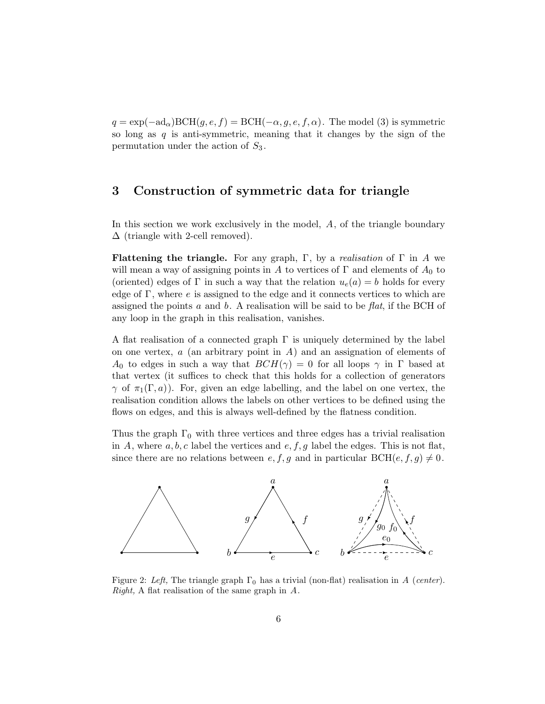$q = \exp(-\text{ad}_{\alpha})\text{BCH}(g, e, f) = \text{BCH}(-\alpha, g, e, f, \alpha)$ . The model (3) is symmetric so long as  $q$  is anti-symmetric, meaning that it changes by the sign of the permutation under the action of  $S_3$ .

## 3 Construction of symmetric data for triangle

In this section we work exclusively in the model, A, of the triangle boundary  $\Delta$  (triangle with 2-cell removed).

**Flattening the triangle.** For any graph,  $\Gamma$ , by a *realisation* of  $\Gamma$  in A we will mean a way of assigning points in A to vertices of  $\Gamma$  and elements of  $A_0$  to (oriented) edges of  $\Gamma$  in such a way that the relation  $u_e(a) = b$  holds for every edge of  $\Gamma$ , where  $e$  is assigned to the edge and it connects vertices to which are assigned the points a and b. A realisation will be said to be  $flat$ , if the BCH of any loop in the graph in this realisation, vanishes.

A flat realisation of a connected graph  $\Gamma$  is uniquely determined by the label on one vertex,  $a$  (an arbitrary point in  $A$ ) and an assignation of elements of  $A_0$  to edges in such a way that  $BCH(\gamma) = 0$  for all loops  $\gamma$  in  $\Gamma$  based at that vertex (it suffices to check that this holds for a collection of generators  $\gamma$  of  $\pi_1(\Gamma, a)$ ). For, given an edge labelling, and the label on one vertex, the realisation condition allows the labels on other vertices to be defined using the flows on edges, and this is always well-defined by the flatness condition.

Thus the graph  $\Gamma_0$  with three vertices and three edges has a trivial realisation in A, where  $a, b, c$  label the vertices and  $e, f, g$  label the edges. This is not flat, since there are no relations between  $e, f, g$  and in particular  $BCH(e, f, g) \neq 0$ .



Figure 2: Left, The triangle graph  $\Gamma_0$  has a trivial (non-flat) realisation in A (center). Right, A flat realisation of the same graph in  $A$ .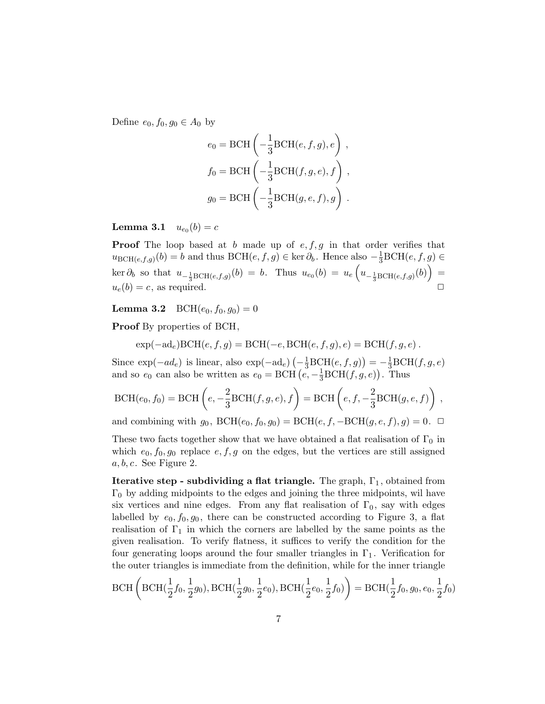Define  $e_0, f_0, g_0 \in A_0$  by

$$
e_0 = \text{BCH}\left(-\frac{1}{3}\text{BCH}(e, f, g), e\right),
$$
  

$$
f_0 = \text{BCH}\left(-\frac{1}{3}\text{BCH}(f, g, e), f\right),
$$
  

$$
g_0 = \text{BCH}\left(-\frac{1}{3}\text{BCH}(g, e, f), g\right).
$$

 ${\bf Lemma ~3.1} \quad u_{e_0}(b)=c$ 

**Proof** The loop based at b made up of  $e, f, g$  in that order verifies that  $u_{\text{BCH}(e,f,g)}(b) = b$  and thus  $\text{BCH}(e,f,g) \in \text{ker } \partial_b$ . Hence also  $-\frac{1}{3}\text{BCH}(e,f,g) \in$  $\ker \partial_b$  so that  $u_{-\frac{1}{3}BCH(e,f,g)}(b) = b$ . Thus  $u_{e_0}(b) = u_e \left( u_{-\frac{1}{3}BCH(e,f,g)}(b) \right) =$  $u_e(b) = c$ , as required.

**Lemma 3.2** BCH $(e_0, f_0, g_0) = 0$ 

Proof By properties of BCH,

$$
\exp(-ad_e)BCH(e, f, g) = BCH(-e, BCH(e, f, g), e) = BCH(f, g, e) .
$$

Since  $\exp(-ad_e)$  is linear, also  $\exp(-ad_e)\left(-\frac{1}{3}\text{BCH}(e,f,g)\right) = -\frac{1}{3}\text{BCH}(f,g,e)$ and so  $e_0$  can also be written as  $e_0 = \text{BCH} (e, -\frac{1}{3} \text{BCH}(f, g, e))$ . Thus

$$
\text{BCH}(e_0, f_0) = \text{BCH}\left(e, -\frac{2}{3}\text{BCH}(f, g, e), f\right) = \text{BCH}\left(e, f, -\frac{2}{3}\text{BCH}(g, e, f)\right),
$$

and combining with  $g_0$ ,  $BCH(e_0, f_0, g_0) = BCH(e, f, -BCH(g, e, f), g) = 0. \ \ \Box$ 

These two facts together show that we have obtained a flat realisation of  $\Gamma_0$  in which  $e_0, f_0, g_0$  replace  $e, f, g$  on the edges, but the vertices are still assigned  $a, b, c$ . See Figure 2.

**Iterative step - subdividing a flat triangle.** The graph,  $\Gamma_1$ , obtained from  $\Gamma_0$  by adding midpoints to the edges and joining the three midpoints, wil have six vertices and nine edges. From any flat realisation of  $\Gamma_0$ , say with edges labelled by  $e_0, f_0, g_0$ , there can be constructed according to Figure 3, a flat realisation of  $\Gamma_1$  in which the corners are labelled by the same points as the given realisation. To verify flatness, it suffices to verify the condition for the four generating loops around the four smaller triangles in  $\Gamma_1$ . Verification for the outer triangles is immediate from the definition, while for the inner triangle

$$
\text{BCH}\left(\text{BCH}(\frac{1}{2}f_0, \frac{1}{2}g_0), \text{BCH}(\frac{1}{2}g_0, \frac{1}{2}e_0), \text{BCH}(\frac{1}{2}e_0, \frac{1}{2}f_0)\right) = \text{BCH}(\frac{1}{2}f_0, g_0, e_0, \frac{1}{2}f_0)
$$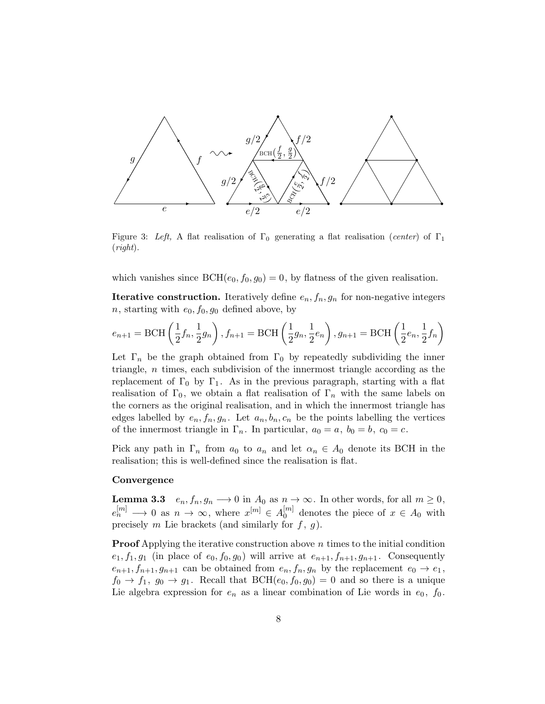

Figure 3: Left, A flat realisation of  $\Gamma_0$  generating a flat realisation (center) of  $\Gamma_1$  $(right).$ 

which vanishes since  $BCH(e_0, f_0, g_0) = 0$ , by flatness of the given realisation.

**Iterative construction.** Iteratively define  $e_n$ ,  $f_n$ ,  $g_n$  for non-negative integers n, starting with  $e_0, f_0, g_0$  defined above, by

$$
e_{n+1} =
$$
BCH  $\left(\frac{1}{2}f_n, \frac{1}{2}g_n\right)$ ,  $f_{n+1} =$ BCH  $\left(\frac{1}{2}g_n, \frac{1}{2}e_n\right)$ ,  $g_{n+1} =$ BCH  $\left(\frac{1}{2}e_n, \frac{1}{2}f_n\right)$ 

Let  $\Gamma_n$  be the graph obtained from  $\Gamma_0$  by repeatedly subdividing the inner triangle, n times, each subdivision of the innermost triangle according as the replacement of  $\Gamma_0$  by  $\Gamma_1$ . As in the previous paragraph, starting with a flat realisation of  $\Gamma_0$ , we obtain a flat realisation of  $\Gamma_n$  with the same labels on the corners as the original realisation, and in which the innermost triangle has edges labelled by  $e_n, f_n, g_n$ . Let  $a_n, b_n, c_n$  be the points labelling the vertices of the innermost triangle in  $\Gamma_n$ . In particular,  $a_0 = a, b_0 = b, c_0 = c$ .

Pick any path in  $\Gamma_n$  from  $a_0$  to  $a_n$  and let  $\alpha_n \in A_0$  denote its BCH in the realisation; this is well-defined since the realisation is flat.

#### **Convergence**

**Lemma 3.3**  $e_n, f_n, g_n \longrightarrow 0$  in  $A_0$  as  $n \rightarrow \infty$ . In other words, for all  $m \ge 0$ ,  $e_n^{[m]} \longrightarrow 0$  as  $n \to \infty$ , where  $x^{[m]} \in A_0^{[m]}$  $_0^{[m]}$  denotes the piece of  $x \in A_0$  with precisely m Lie brackets (and similarly for  $f, g$ ).

**Proof** Applying the iterative construction above  $n$  times to the initial condition  $e_1, f_1, g_1$  (in place of  $e_0, f_0, g_0$ ) will arrive at  $e_{n+1}, f_{n+1}, g_{n+1}$ . Consequently  $e_{n+1}, f_{n+1}, g_{n+1}$  can be obtained from  $e_n, f_n, g_n$  by the replacement  $e_0 \rightarrow e_1$ ,  $f_0 \to f_1, g_0 \to g_1$ . Recall that  $BCH(e_0, f_0, g_0) = 0$  and so there is a unique Lie algebra expression for  $e_n$  as a linear combination of Lie words in  $e_0$ ,  $f_0$ .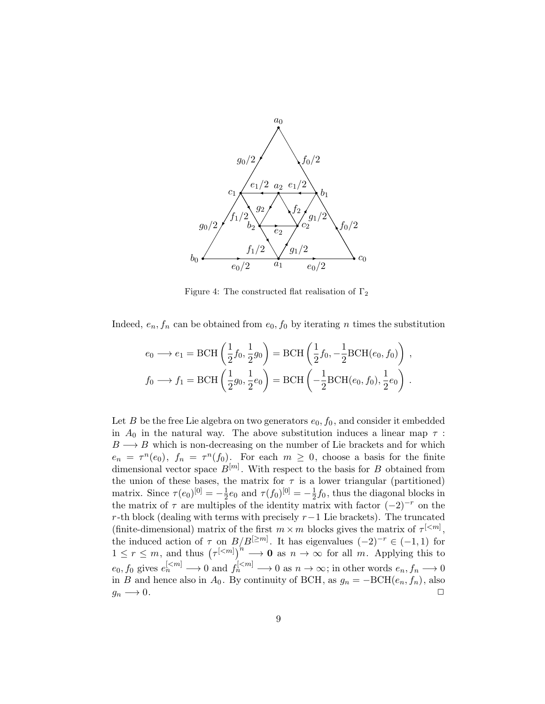

Figure 4: The constructed flat realisation of  $\Gamma_2$ 

Indeed,  $e_n$ ,  $f_n$  can be obtained from  $e_0$ ,  $f_0$  by iterating n times the substitution

$$
e_0 \longrightarrow e_1 = \text{BCH}\left(\frac{1}{2}f_0, \frac{1}{2}g_0\right) = \text{BCH}\left(\frac{1}{2}f_0, -\frac{1}{2}\text{BCH}(e_0, f_0)\right),
$$
  

$$
f_0 \longrightarrow f_1 = \text{BCH}\left(\frac{1}{2}g_0, \frac{1}{2}e_0\right) = \text{BCH}\left(-\frac{1}{2}\text{BCH}(e_0, f_0), \frac{1}{2}e_0\right).
$$

Let B be the free Lie algebra on two generators  $e_0$ ,  $f_0$ , and consider it embedded in  $A_0$  in the natural way. The above substitution induces a linear map  $\tau$ :  $B \longrightarrow B$  which is non-decreasing on the number of Lie brackets and for which  $e_n = \tau^n(e_0)$ ,  $f_n = \tau^n(f_0)$ . For each  $m \geq 0$ , choose a basis for the finite dimensional vector space  $B^{[m]}$ . With respect to the basis for B obtained from the union of these bases, the matrix for  $\tau$  is a lower triangular (partitioned) matrix. Since  $\tau(e_0)^{[0]} = -\frac{1}{2}$  $\frac{1}{2}e_0$  and  $\tau(f_0)^{[0]} = -\frac{1}{2}$  $\frac{1}{2}f_0$ , thus the diagonal blocks in the matrix of  $\tau$  are multiples of the identity matrix with factor  $(-2)^{-r}$  on the r-th block (dealing with terms with precisely  $r-1$  Lie brackets). The truncated (finite-dimensional) matrix of the first  $m \times m$  blocks gives the matrix of  $\tau^{[\langle m]}$ , the induced action of  $\tau$  on  $B/B^{[\geq m]}$ . It has eigenvalues  $(-2)^{-r} \in (-1,1)$  for  $1 \leq r \leq m$ , and thus  $(\tau^{[\langle m]})^{n} \longrightarrow \mathbf{0}$  as  $n \to \infty$  for all m. Applying this to  $e_0, f_0$  gives  $e_n^{[\le m]} \longrightarrow 0$  and  $f_n^{[\le m]} \longrightarrow 0$  as  $n \to \infty$ ; in other words  $e_n, f_n \longrightarrow 0$ in B and hence also in  $A_0$ . By continuity of BCH, as  $g_n = -BCH(e_n, f_n)$ , also  $g_n \longrightarrow 0.$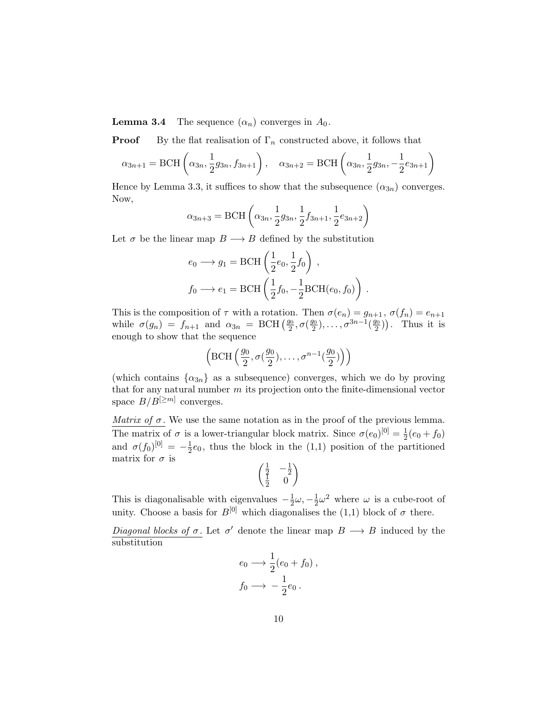**Lemma 3.4** The sequence  $(\alpha_n)$  converges in  $A_0$ .

**Proof** By the flat realisation of  $\Gamma_n$  constructed above, it follows that

$$
\alpha_{3n+1} = \text{BCH}\left(\alpha_{3n}, \frac{1}{2}g_{3n}, f_{3n+1}\right), \quad \alpha_{3n+2} = \text{BCH}\left(\alpha_{3n}, \frac{1}{2}g_{3n}, -\frac{1}{2}e_{3n+1}\right)
$$

Hence by Lemma 3.3, it suffices to show that the subsequence  $(\alpha_{3n})$  converges. Now,

$$
\alpha_{3n+3} = \text{BCH}\left(\alpha_{3n}, \frac{1}{2}g_{3n}, \frac{1}{2}f_{3n+1}, \frac{1}{2}e_{3n+2}\right)
$$

Let  $\sigma$  be the linear map  $B \longrightarrow B$  defined by the substitution

$$
e_0 \longrightarrow g_1 = \text{BCH}\left(\frac{1}{2}e_0, \frac{1}{2}f_0\right),
$$
  

$$
f_0 \longrightarrow e_1 = \text{BCH}\left(\frac{1}{2}f_0, -\frac{1}{2}\text{BCH}(e_0, f_0)\right)
$$

.

This is the composition of  $\tau$  with a rotation. Then  $\sigma(e_n) = g_{n+1}$ ,  $\sigma(f_n) = e_{n+1}$ while  $\sigma(g_n) = f_{n+1}$  and  $\alpha_{3n} = \text{BCH} \left( \frac{g_0}{2} \right)$  $\frac{g_0}{2}, \sigma(\frac{g_0}{2})$  $(\frac{g_0}{2}), \ldots, \sigma^{3n-1}(\frac{g_0}{2})$  $\binom{y_0}{2}$ . Thus it is enough to show that the sequence

$$
\left(\mathrm{BCH}\left(\frac{g_0}{2}, \sigma(\frac{g_0}{2}), \ldots, \sigma^{n-1}(\frac{g_0}{2})\right)\right)
$$

(which contains  $\{\alpha_{3n}\}\$ as a subsequence) converges, which we do by proving that for any natural number  $m$  its projection onto the finite-dimensional vector space  $B/B^{[\geq m]}$  converges.

Matrix of  $\sigma$ . We use the same notation as in the proof of the previous lemma. The matrix of  $\sigma$  is a lower-triangular block matrix. Since  $\sigma(e_0)^{[0]} = \frac{1}{2}$  $rac{1}{2}(e_0+f_0)$ and  $\sigma(f_0)^{[0]} = -\frac{1}{2}$  $\frac{1}{2}e_0$ , thus the block in the (1,1) position of the partitioned matrix for  $\sigma$  is

$$
\begin{pmatrix}\n\frac{1}{2} & -\frac{1}{2} \\
\frac{1}{2} & 0\n\end{pmatrix}
$$

This is diagonalisable with eigenvalues  $-\frac{1}{2}$  $\frac{1}{2}\omega, -\frac{1}{2}$  $\frac{1}{2}\omega^2$  where  $\omega$  is a cube-root of unity. Choose a basis for  $B^{[0]}$  which diagonalises the (1,1) block of  $\sigma$  there.

Diagonal blocks of  $\sigma$ . Let  $\sigma'$  denote the linear map  $B \longrightarrow B$  induced by the substitution

$$
e_0 \longrightarrow \frac{1}{2}(e_0 + f_0),
$$
  

$$
f_0 \longrightarrow -\frac{1}{2}e_0.
$$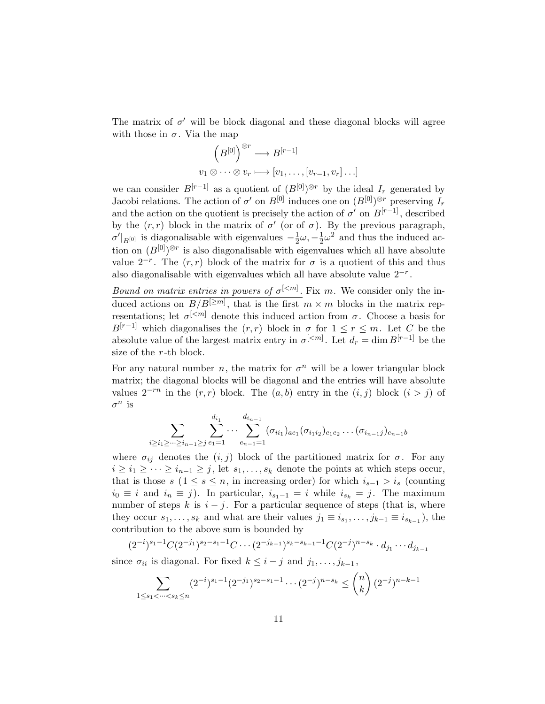The matrix of  $\sigma'$  will be block diagonal and these diagonal blocks will agree with those in  $\sigma$ . Via the map

$$
(B^{[0]})^{\otimes r} \longrightarrow B^{[r-1]}
$$
  

$$
v_1 \otimes \cdots \otimes v_r \longmapsto [v_1, \ldots, [v_{r-1}, v_r] \ldots]
$$

we can consider  $B^{[r-1]}$  as a quotient of  $(B^{[0]})^{\otimes r}$  by the ideal  $I_r$  generated by Jacobi relations. The action of  $\sigma'$  on  $B^{[0]}$  induces one on  $(B^{[0]})^{\otimes r}$  preserving  $I_r$ and the action on the quotient is precisely the action of  $\sigma'$  on  $B^{[r-1]}$ , described by the  $(r, r)$  block in the matrix of  $\sigma'$  (or of  $\sigma$ ). By the previous paragraph,  $\sigma'|_{B^{[0]}}$  is diagonalisable with eigenvalues  $-\frac{1}{2}$  $\frac{1}{2}\omega, -\frac{1}{2}$  $\frac{1}{2}\omega^2$  and thus the induced action on  $(B^{[0]})^{\otimes r}$  is also diagonalisable with eigenvalues which all have absolute value  $2^{-r}$ . The  $(r,r)$  block of the matrix for  $\sigma$  is a quotient of this and thus also diagonalisable with eigenvalues which all have absolute value  $2^{-r}$ .

Bound on matrix entries in powers of  $\sigma^{[\leq m]}$ . Fix m. We consider only the induced actions on  $B/B^{[\geq m]}$ , that is the first  $m \times m$  blocks in the matrix representations; let  $\sigma^{[\leq m]}$  denote this induced action from  $\sigma$ . Choose a basis for  $B^{[r-1]}$  which diagonalises the  $(r, r)$  block in  $\sigma$  for  $1 \leq r \leq m$ . Let C be the absolute value of the largest matrix entry in  $\sigma^{[\langle m]}$ . Let  $d_r = \dim B^{[r-1]}$  be the size of the r-th block.

For any natural number *n*, the matrix for  $\sigma^n$  will be a lower triangular block matrix; the diagonal blocks will be diagonal and the entries will have absolute values  $2^{-rn}$  in the  $(r, r)$  block. The  $(a, b)$  entry in the  $(i, j)$  block  $(i > j)$  of  $\sigma^n$  is

$$
\sum_{i\geq i_1\geq \cdots\geq i_{n-1}\geq j}\sum_{e_1=1}^{d_{i_1}}\cdots\sum_{e_{n-1}=1}^{d_{i_{n-1}}}(\sigma_{i_{i_1}})_{ae_1}(\sigma_{i_1i_2})_{e_1e_2}\ldots(\sigma_{i_{n-1}j})_{e_{n-1}b}
$$

where  $\sigma_{ij}$  denotes the  $(i, j)$  block of the partitioned matrix for  $\sigma$ . For any  $i \geq i_1 \geq \cdots \geq i_{n-1} \geq j$ , let  $s_1, \ldots, s_k$  denote the points at which steps occur, that is those s  $(1 \leq s \leq n$ , in increasing order) for which  $i_{s-1} > i_s$  (counting  $i_0 \equiv i$  and  $i_n \equiv j$ ). In particular,  $i_{s_1-1} = i$  while  $i_{s_k} = j$ . The maximum number of steps k is  $i - j$ . For a particular sequence of steps (that is, where they occur  $s_1, \ldots, s_k$  and what are their values  $j_1 \equiv i_{s_1}, \ldots, j_{k-1} \equiv i_{s_{k-1}}$ , the contribution to the above sum is bounded by

$$
(2^{-i})^{s_1-1}C(2^{-j_1})^{s_2-s_1-1}C\cdots (2^{-j_{k-1}})^{s_k-s_{k-1}-1}C(2^{-j})^{n-s_k}\cdot d_{j_1}\cdots d_{j_{k-1}}
$$

since  $\sigma_{ii}$  is diagonal. For fixed  $k \leq i - j$  and  $j_1, \ldots, j_{k-1}$ ,

$$
\sum_{1 \le s_1 < \dots < s_k \le n} (2^{-i})^{s_1 - 1} (2^{-j_1})^{s_2 - s_1 - 1} \dots (2^{-j})^{n - s_k} \le \binom{n}{k} (2^{-j})^{n - k - 1}
$$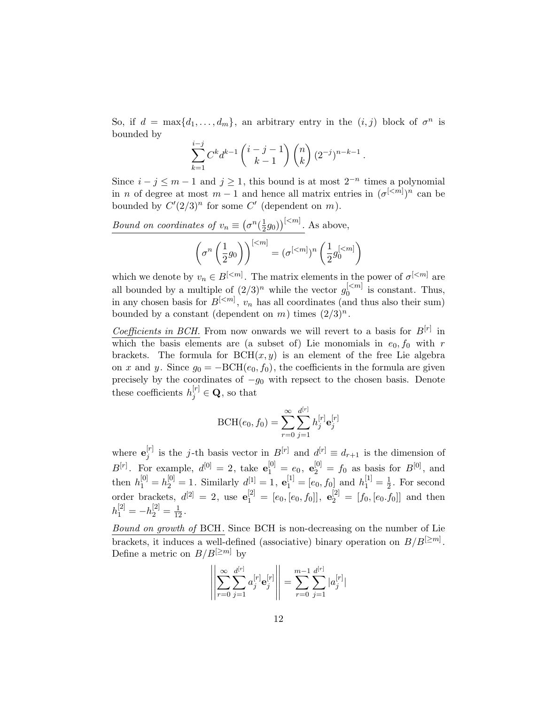So, if  $d = \max\{d_1, \ldots, d_m\}$ , an arbitrary entry in the  $(i, j)$  block of  $\sigma^n$  is bounded by

$$
\sum_{k=1}^{i-j} C^k d^{k-1} {i-j-1 \choose k-1} {n \choose k} (2^{-j})^{n-k-1}.
$$

Since  $i - j \leq m - 1$  and  $j \geq 1$ , this bound is at most  $2^{-n}$  times a polynomial in *n* of degree at most  $m-1$  and hence all matrix entries in  $({\sigma}^{[\langle m]})^n$  can be bounded by  $C'(2/3)^n$  for some C' (dependent on m).

*Bound on coordinates of* 
$$
v_n \equiv (\sigma^n(\frac{1}{2}g_0))^{[\leq m]}
$$
. As above,  

$$
(\sigma^n(\frac{1}{2}g_0))^{[\leq m]} = (\sigma^{[\leq m]})^n(\frac{1}{2}g_0^{[\leq m]})
$$

which we denote by  $v_n \in B^{[\leq m]}$ . The matrix elements in the power of  $\sigma^{[\leq m]}$  are all bounded by a multiple of  $(2/3)^n$  while the vector  $g_0^{[\leq m]}$  $\int_0^{\lfloor \leq m \rfloor}$  is constant. Thus, in any chosen basis for  $B^{[\langle m]}$ ,  $v_n$  has all coordinates (and thus also their sum) bounded by a constant (dependent on m) times  $(2/3)^n$ .

Coefficients in BCH. From now onwards we will revert to a basis for  $B^{[r]}$  in which the basis elements are (a subset of) Lie monomials in  $e_0, f_0$  with r brackets. The formula for  $BCH(x, y)$  is an element of the free Lie algebra on x and y. Since  $g_0 = -BCH(e_0, f_0)$ , the coefficients in the formula are given precisely by the coordinates of  $-g_0$  with repsect to the chosen basis. Denote these coefficients  $h_j^{[r]} \in \mathbf{Q}$ , so that

$$
BCH(e_0, f_0) = \sum_{r=0}^{\infty} \sum_{j=1}^{d^{[r]}} h_j^{[r]} \mathbf{e}_j^{[r]}
$$

where  $\mathbf{e}_i^{[r]}$  $j^{[r]}$  is the j-th basis vector in  $B^{[r]}$  and  $d^{[r]} \equiv d_{r+1}$  is the dimension of  $B^{[r]}$ . For example,  $d^{[0]} = 2$ , take  $\mathbf{e}_1^{[0]} = e_0$ ,  $\mathbf{e}_2^{[0]} = f_0$  as basis for  $B^{[0]}$ , and then  $h_1^{[0]} = h_2^{[0]} = 1$ . Similarly  $d^{[1]} = 1$ ,  $\mathbf{e}_1^{[1]} = [e_0, f_0]$  and  $h_1^{[1]} = \frac{1}{2}$  $\frac{1}{2}$ . For second order brackets,  $d^{[2]} = 2$ , use  $e_1^{[2]} = [e_0, [e_0, f_0]]$ ,  $e_2^{[2]} = [f_0, [e_0, f_0]]$  and then  $h_1^{[2]} = -h_2^{[2]} = \frac{1}{12}.$ 

Bound on growth of BCH. Since BCH is non-decreasing on the number of Lie brackets, it induces a well-defined (associative) binary operation on  $B/B^{[\geq m]}$ . Define a metric on  $B/B^{[\geq m]}$  by

$$
\left\| \sum_{r=0}^{\infty} \sum_{j=1}^{d^{[r]}} a_j^{[r]} \mathbf{e}_j^{[r]} \right\| = \sum_{r=0}^{m-1} \sum_{j=1}^{d^{[r]}} |a_j^{[r]}|
$$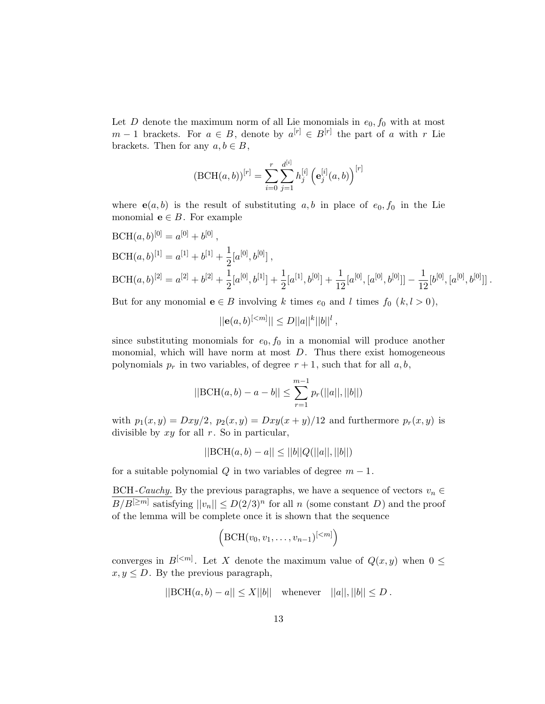Let  $D$  denote the maximum norm of all Lie monomials in  $e_0, f_0$  with at most  $m-1$  brackets. For  $a \in B$ , denote by  $a^{[r]} \in B^{[r]}$  the part of a with r Lie brackets. Then for any  $a, b \in B$ ,

$$
(\text{BCH}(a, b))^{[r]} = \sum_{i=0}^{r} \sum_{j=1}^{d^{[i]}} h_j^{[i]} \left( \mathbf{e}_j^{[i]}(a, b) \right)^{[r]}
$$

where  $e(a, b)$  is the result of substituting a, b in place of  $e_0, f_0$  in the Lie monomial  $e \in B$ . For example

BCH(a, b)<sup>[0]</sup> = 
$$
a^{[0]} + b^{[0]}
$$
,  
\nBCH(a, b)<sup>[1]</sup> =  $a^{[1]} + b^{[1]} + \frac{1}{2}[a^{[0]}, b^{[0]}]$ ,  
\nBCH(a, b)<sup>[2]</sup> =  $a^{[2]} + b^{[2]} + \frac{1}{2}[a^{[0]}, b^{[1]}] + \frac{1}{2}[a^{[1]}, b^{[0]}] + \frac{1}{12}[a^{[0]}, [a^{[0]}, b^{[0]}]] - \frac{1}{12}[b^{[0]}, [a^{[0]}, b^{[0]}]]$ .

But for any monomial  $e \in B$  involving k times  $e_0$  and l times  $f_0$   $(k, l > 0)$ ,

$$
||e(a,b)^{[
$$

since substituting monomials for  $e_0$ ,  $f_0$  in a monomial will produce another monomial, which will have norm at most  $D$ . Thus there exist homogeneous polynomials  $p_r$  in two variables, of degree  $r + 1$ , such that for all  $a, b$ ,

$$
||\text{BCH}(a,b) - a - b|| \le \sum_{r=1}^{m-1} p_r(||a||,||b||)
$$

with  $p_1(x,y) = Dxy/2$ ,  $p_2(x,y) = Dxy(x+y)/12$  and furthermore  $p_r(x,y)$  is divisible by  $xy$  for all  $r$ . So in particular,

$$
||BCH(a, b) - a|| \le ||b||Q(||a||, ||b||)
$$

for a suitable polynomial Q in two variables of degree  $m-1$ .

BCH-Cauchy. By the previous paragraphs, we have a sequence of vectors  $v_n \in$  $B/B^{[\geq m]}$  satisfying  $||v_n|| \leq D(2/3)^n$  for all n (some constant D) and the proof of the lemma will be complete once it is shown that the sequence

$$
\left(\text{BCH}(v_0, v_1, \ldots, v_{n-1})^{[\leq m]}\right)
$$

converges in  $B^{[\leq m]}$ . Let X denote the maximum value of  $Q(x, y)$  when  $0 \leq$  $x, y \leq D$ . By the previous paragraph,

$$
||\text{BCH}(a, b) - a|| \le X||b||
$$
 whenever  $||a||, ||b|| \le D$ .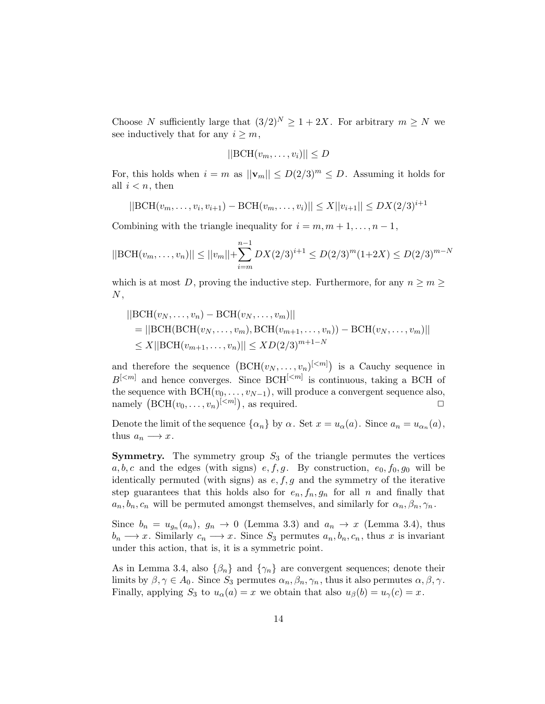Choose N sufficiently large that  $(3/2)^N \geq 1 + 2X$ . For arbitrary  $m \geq N$  we see inductively that for any  $i \geq m$ ,

$$
||\text{BCH}(v_m, \dots, v_i)|| \leq D
$$

For, this holds when  $i = m$  as  $||\mathbf{v}_m|| \le D(2/3)^m \le D$ . Assuming it holds for all  $i < n$ , then

$$
||\text{BCH}(v_m, \dots, v_i, v_{i+1}) - \text{BCH}(v_m, \dots, v_i)|| \le X||v_{i+1}|| \le DX(2/3)^{i+1}
$$

Combining with the triangle inequality for  $i = m, m + 1, \ldots, n - 1$ ,

$$
||\text{BCH}(v_m, \dots, v_n)|| \le ||v_m|| + \sum_{i=m}^{n-1} DX(2/3)^{i+1} \le D(2/3)^m (1+2X) \le D(2/3)^{m-N}
$$

which is at most D, proving the inductive step. Furthermore, for any  $n \geq m \geq$  $N,$ 

$$
||BCH(v_N, ..., v_n) - BCH(v_N, ..., v_m)||
$$
  
= ||BCH(BCH(v\_N, ..., v\_m), BCH(v\_{m+1}, ..., v\_n)) - BCH(v\_N, ..., v\_m)||  

$$
\leq X||BCH(v_{m+1}, ..., v_n)|| \leq XD(2/3)^{m+1-N}
$$

and therefore the sequence  $(BCH(v_N, \ldots, v_n)^{[\leq m]})$  is a Cauchy sequence in  $B^{[\leq m]}$  and hence converges. Since  $BCH^{[\leq m]}$  is continuous, taking a BCH of the sequence with  $BCH(v_0, \ldots, v_{N-1}),$  will produce a convergent sequence also, namely  $(BCH(v_0, \ldots, v_n)^{[\leq m]})$ , as required.

Denote the limit of the sequence  $\{\alpha_n\}$  by  $\alpha$ . Set  $x = u_\alpha(a)$ . Since  $a_n = u_{\alpha_n}(a)$ , thus  $a_n \longrightarrow x$ .

**Symmetry.** The symmetry group  $S_3$  of the triangle permutes the vertices  $a, b, c$  and the edges (with signs)  $e, f, g$ . By construction,  $e_0, f_0, g_0$  will be identically permuted (with signs) as  $e, f, g$  and the symmetry of the iterative step guarantees that this holds also for  $e_n, f_n, g_n$  for all n and finally that  $a_n, b_n, c_n$  will be permuted amongst themselves, and similarly for  $\alpha_n, \beta_n, \gamma_n$ .

Since  $b_n = u_{g_n}(a_n)$ ,  $g_n \to 0$  (Lemma 3.3) and  $a_n \to x$  (Lemma 3.4), thus  $b_n \longrightarrow x$ . Similarly  $c_n \longrightarrow x$ . Since  $S_3$  permutes  $a_n, b_n, c_n$ , thus x is invariant under this action, that is, it is a symmetric point.

As in Lemma 3.4, also  $\{\beta_n\}$  and  $\{\gamma_n\}$  are convergent sequences; denote their limits by  $\beta, \gamma \in A_0$ . Since  $S_3$  permutes  $\alpha_n, \beta_n, \gamma_n$ , thus it also permutes  $\alpha, \beta, \gamma$ . Finally, applying  $S_3$  to  $u_\alpha(a) = x$  we obtain that also  $u_\beta(b) = u_\gamma(c) = x$ .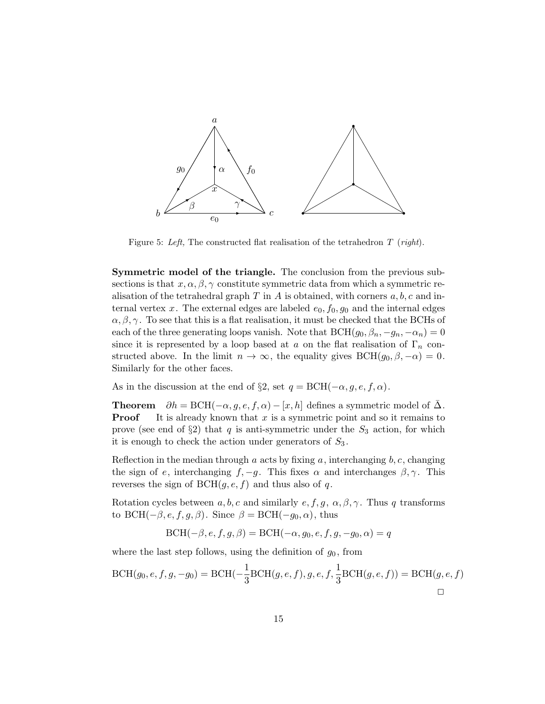

Figure 5: Left, The constructed flat realisation of the tetrahedron  $T$  (right).

Symmetric model of the triangle. The conclusion from the previous subsections is that  $x, \alpha, \beta, \gamma$  constitute symmetric data from which a symmetric realisation of the tetrahedral graph  $T$  in  $A$  is obtained, with corners  $a, b, c$  and internal vertex x. The external edges are labeled  $e_0, f_0, g_0$  and the internal edges  $\alpha, \beta, \gamma$ . To see that this is a flat realisation, it must be checked that the BCHs of each of the three generating loops vanish. Note that  $BCH(g_0, \beta_n, -g_n, -\alpha_n) = 0$ since it is represented by a loop based at a on the flat realisation of  $\Gamma_n$  constructed above. In the limit  $n \to \infty$ , the equality gives  $BCH(g_0, \beta, -\alpha) = 0$ . Similarly for the other faces.

As in the discussion at the end of §2, set  $q = \text{BCH}(-\alpha, q, e, f, \alpha)$ .

**Theorem**  $\partial h = \text{BCH}(-\alpha, g, e, f, \alpha) - [x, h]$  defines a symmetric model of  $\Delta$ . **Proof** It is already known that  $x$  is a symmetric point and so it remains to prove (see end of  $\S 2$ ) that q is anti-symmetric under the  $S_3$  action, for which it is enough to check the action under generators of  $S_3$ .

Reflection in the median through a acts by fixing  $a$ , interchanging  $b, c$ , changing the sign of e, interchanging  $f, -g$ . This fixes  $\alpha$  and interchanges  $\beta, \gamma$ . This reverses the sign of  $BCH(q, e, f)$  and thus also of q.

Rotation cycles between  $a, b, c$  and similarly  $e, f, g, \alpha, \beta, \gamma$ . Thus q transforms to BCH( $-\beta$ , e, f, g,  $\beta$ ). Since  $\beta = BCH(-g_0, \alpha)$ , thus

$$
BCH(-\beta, e, f, g, \beta) = BCH(-\alpha, g_0, e, f, g, -g_0, \alpha) = q
$$

where the last step follows, using the definition of  $g_0$ , from

$$
BCH(g_0, e, f, g, -g_0) = BCH(-\frac{1}{3}BCH(g, e, f), g, e, f, \frac{1}{3}BCH(g, e, f)) = BCH(g, e, f)
$$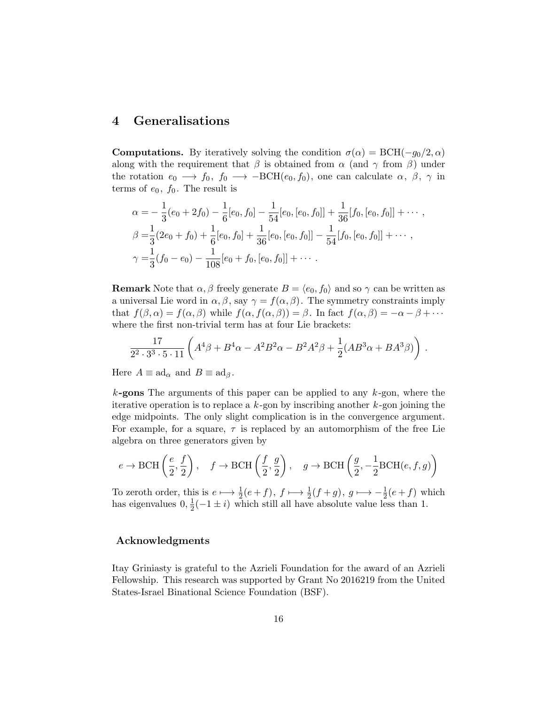## 4 Generalisations

**Computations.** By iteratively solving the condition  $\sigma(\alpha) = \text{BCH}(-g_0/2, \alpha)$ along with the requirement that  $\beta$  is obtained from  $\alpha$  (and  $\gamma$  from  $\beta$ ) under the rotation  $e_0 \longrightarrow f_0, f_0 \longrightarrow -BCH(e_0, f_0)$ , one can calculate  $\alpha, \beta, \gamma$  in terms of  $e_0$ ,  $f_0$ . The result is

$$
\alpha = -\frac{1}{3}(e_0 + 2f_0) - \frac{1}{6}[e_0, f_0] - \frac{1}{54}[e_0, [e_0, f_0]] + \frac{1}{36}[f_0, [e_0, f_0]] + \cdots ,\n\beta = \frac{1}{3}(2e_0 + f_0) + \frac{1}{6}[e_0, f_0] + \frac{1}{36}[e_0, [e_0, f_0]] - \frac{1}{54}[f_0, [e_0, f_0]] + \cdots ,\n\gamma = \frac{1}{3}(f_0 - e_0) - \frac{1}{108}[e_0 + f_0, [e_0, f_0]] + \cdots .
$$

**Remark** Note that  $\alpha, \beta$  freely generate  $B = \langle e_0, f_0 \rangle$  and so  $\gamma$  can be written as a universal Lie word in  $\alpha, \beta$ , say  $\gamma = f(\alpha, \beta)$ . The symmetry constraints imply that  $f(\beta,\alpha) = f(\alpha,\beta)$  while  $f(\alpha, f(\alpha,\beta)) = \beta$ . In fact  $f(\alpha,\beta) = -\alpha - \beta + \cdots$ where the first non-trivial term has at four Lie brackets:

$$
\frac{17}{2^2 \cdot 3^3 \cdot 5 \cdot 11} \left( A^4 \beta + B^4 \alpha - A^2 B^2 \alpha - B^2 A^2 \beta + \frac{1}{2} (AB^3 \alpha + BA^3 \beta) \right) .
$$

Here  $A \equiv \mathrm{ad}_{\alpha}$  and  $B \equiv \mathrm{ad}_{\beta}$ .

 $k$ -gons The arguments of this paper can be applied to any  $k$ -gon, where the iterative operation is to replace a  $k$ -gon by inscribing another  $k$ -gon joining the edge midpoints. The only slight complication is in the convergence argument. For example, for a square,  $\tau$  is replaced by an automorphism of the free Lie algebra on three generators given by

$$
e \to \text{BCH}\left(\frac{e}{2}, \frac{f}{2}\right), \quad f \to \text{BCH}\left(\frac{f}{2}, \frac{g}{2}\right), \quad g \to \text{BCH}\left(\frac{g}{2}, -\frac{1}{2}\text{BCH}(e, f, g)\right)
$$

To zeroth order, this is  $e \mapsto \frac{1}{2}(e+f)$ ,  $f \mapsto \frac{1}{2}(f+g)$ ,  $g \mapsto -\frac{1}{2}(e+f)$  which has eigenvalues  $0, \frac{1}{2}$  $\frac{1}{2}(-1 \pm i)$  which still all have absolute value less than 1.

### Acknowledgments

Itay Griniasty is grateful to the Azrieli Foundation for the award of an Azrieli Fellowship. This research was supported by Grant No 2016219 from the United States-Israel Binational Science Foundation (BSF).